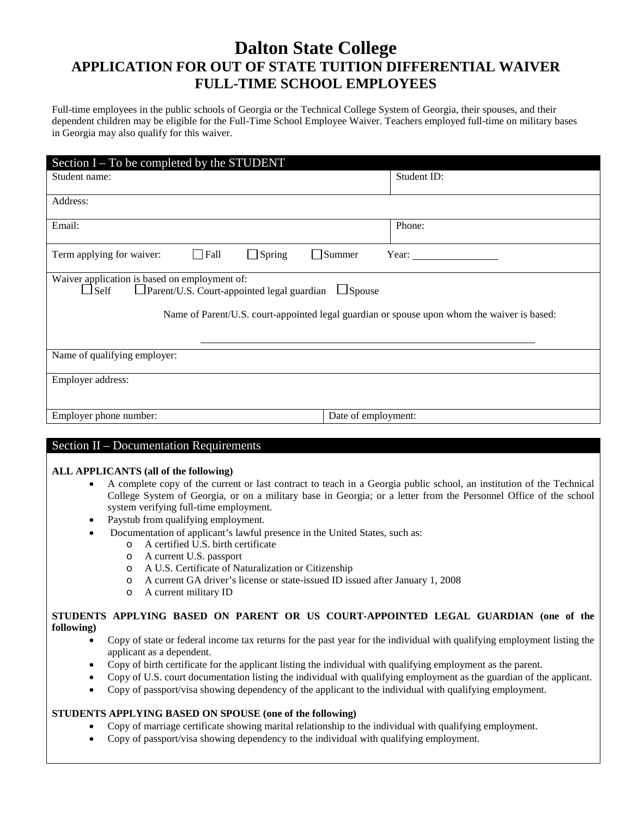# **Dalton State College APPLICATION FOR OUT OF STATE TUITION DIFFERENTIAL WAIVER FULL-TIME SCHOOL EMPLOYEES**

Full-time employees in the public schools of Georgia or the Technical College System of Georgia, their spouses, and their dependent children may be eligible for the Full-Time School Employee Waiver. Teachers employed full-time on military bases in Georgia may also qualify for this waiver.

| Section $I - To$ be completed by the STUDENT                                                                                    |                        |
|---------------------------------------------------------------------------------------------------------------------------------|------------------------|
| Student name:                                                                                                                   | Student ID:            |
| Address:                                                                                                                        |                        |
| Email:                                                                                                                          | Phone:                 |
| $\Box$ Fall<br>$\Box$ Spring<br>Term applying for waiver:                                                                       | $\Box$ Summer<br>Year: |
| Waiver application is based on employment of:<br>$\Box$ Self<br>$\Box$ Parent/U.S. Court-appointed legal guardian $\Box$ Spouse |                        |
| Name of Parent/U.S. court-appointed legal guardian or spouse upon whom the waiver is based:                                     |                        |
|                                                                                                                                 |                        |
| Name of qualifying employer:                                                                                                    |                        |
| Employer address:                                                                                                               |                        |
| Employer phone number:                                                                                                          | Date of employment:    |

## Section II – Documentation Requirements

### **ALL APPLICANTS (all of the following)**

- A complete copy of the current or last contract to teach in a Georgia public school, an institution of the Technical College System of Georgia, or on a military base in Georgia; or a letter from the Personnel Office of the school system verifying full-time employment.
- Paystub from qualifying employment.
- Documentation of applicant's lawful presence in the United States, such as:
	- o A certified U.S. birth certificate
	- o A current U.S. passport
	- o A U.S. Certificate of Naturalization or Citizenship
	- o A current GA driver's license or state-issued ID issued after January 1, 2008
	- o A current military ID

## **STUDENTS APPLYING BASED ON PARENT OR US COURT-APPOINTED LEGAL GUARDIAN (one of the following)**

- Copy of state or federal income tax returns for the past year for the individual with qualifying employment listing the applicant as a dependent.
- Copy of birth certificate for the applicant listing the individual with qualifying employment as the parent.
- Copy of U.S. court documentation listing the individual with qualifying employment as the guardian of the applicant.
- Copy of passport/visa showing dependency of the applicant to the individual with qualifying employment.

## **STUDENTS APPLYING BASED ON SPOUSE (one of the following)**

- Copy of marriage certificate showing marital relationship to the individual with qualifying employment.
- Copy of passport/visa showing dependency to the individual with qualifying employment.